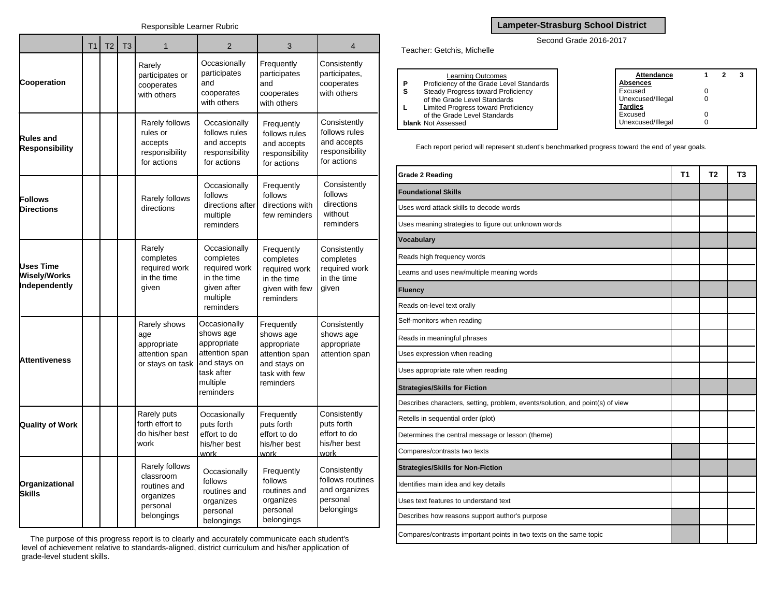|                                                          | T <sub>1</sub> | T <sub>2</sub> | T <sub>3</sub> | $\mathbf{1}$                                                                       | $\overline{2}$                                                                                                    | 3                                                                                                      | $\overline{4}$                                                                |  |
|----------------------------------------------------------|----------------|----------------|----------------|------------------------------------------------------------------------------------|-------------------------------------------------------------------------------------------------------------------|--------------------------------------------------------------------------------------------------------|-------------------------------------------------------------------------------|--|
| Cooperation                                              |                |                |                | Rarely<br>participates or<br>cooperates<br>with others                             | Occasionally<br>participates<br>and<br>cooperates<br>with others                                                  | Frequently<br>participates<br>and<br>cooperates<br>with others                                         | Consistently<br>participates,<br>cooperates<br>with others                    |  |
| <b>Rules and</b><br><b>Responsibility</b>                |                |                |                | Rarely follows<br>rules or<br>accepts<br>responsibility<br>for actions             | Occasionally<br>follows rules<br>and accepts<br>responsibility<br>for actions                                     | Frequently<br>follows rules<br>and accepts<br>responsibility<br>for actions                            | Consistently<br>follows rules<br>and accepts<br>responsibility<br>for actions |  |
| <b>Follows</b><br><b>Directions</b>                      |                |                |                | Rarely follows<br>directions                                                       | Occasionally<br>follows<br>directions after<br>multiple<br>reminders                                              | Frequently<br>follows<br>directions with<br>few reminders                                              | Consistently<br>follows<br>directions<br>without<br>reminders                 |  |
| <b>Uses Time</b><br><b>Wisely/Works</b><br>Independently |                |                |                | Rarely<br>completes<br>required work<br>in the time<br>given                       | Occasionally<br>completes<br>required work<br>in the time<br>given after<br>multiple<br>reminders                 | Frequently<br>completes<br>required work<br>in the time<br>given with few<br>reminders                 | Consistently<br>completes<br>required work<br>in the time<br>given            |  |
| <b>Attentiveness</b>                                     |                |                |                | Rarely shows<br>age<br>appropriate<br>attention span<br>or stays on task           | Occasionally<br>shows age<br>appropriate<br>attention span<br>and stays on<br>task after<br>multiple<br>reminders | Frequently<br>shows age<br>appropriate<br>attention span<br>and stays on<br>task with few<br>reminders | Consistently<br>shows age<br>appropriate<br>attention span                    |  |
| <b>Quality of Work</b>                                   |                |                |                | Rarely puts<br>forth effort to<br>do his/her best<br>work                          | Occasionally<br>puts forth<br>effort to do<br>his/her best<br>work                                                | Frequently<br>puts forth<br>effort to do<br>his/her best<br>work                                       | Consistently<br>puts forth<br>effort to do<br>his/her best<br>work            |  |
| Organizational<br><b>Skills</b>                          |                |                |                | Rarely follows<br>classroom<br>routines and<br>organizes<br>personal<br>belongings | Occasionally<br>follows<br>routines and<br>organizes<br>personal<br>belongings                                    | Frequently<br>follows<br>routines and<br>organizes<br>personal<br>belongings                           | Consistently<br>follows routines<br>and organizes<br>personal<br>belongings   |  |

The purpose of this progress report is to clearly and accurately communicate each student's level of achievement relative to standards-aligned, district curriculum and his/her application of grade-level student skills.

## **Lampeter-Strasburg School District**

## Second Grade 2016-2017

Teacher: Getchis, Michelle

|    | <b>Learning Outcomes</b>                 | Attendance        |  | 3 |
|----|------------------------------------------|-------------------|--|---|
| P  | Proficiency of the Grade Level Standards | Absences          |  |   |
| s  | Steady Progress toward Proficiency       | Excused           |  |   |
|    | of the Grade Level Standards             | Unexcused/Illegal |  |   |
| L. | Limited Progress toward Proficiency      | <b>Tardies</b>    |  |   |
|    | of the Grade Level Standards             | Excused           |  |   |
|    | <b>blank</b> Not Assessed                | Unexcused/Illegal |  |   |
|    |                                          |                   |  |   |

Each report period will represent student's benchmarked progress toward the end of year goals.

| <b>Grade 2 Reading</b>                                                        | T <sub>1</sub> | T <sub>2</sub> | T3 |
|-------------------------------------------------------------------------------|----------------|----------------|----|
| <b>Foundational Skills</b>                                                    |                |                |    |
| Uses word attack skills to decode words                                       |                |                |    |
| Uses meaning strategies to figure out unknown words                           |                |                |    |
| <b>Vocabulary</b>                                                             |                |                |    |
| Reads high frequency words                                                    |                |                |    |
| Learns and uses new/multiple meaning words                                    |                |                |    |
| <b>Fluency</b>                                                                |                |                |    |
| Reads on-level text orally                                                    |                |                |    |
| Self-monitors when reading                                                    |                |                |    |
| Reads in meaningful phrases                                                   |                |                |    |
| Uses expression when reading                                                  |                |                |    |
| Uses appropriate rate when reading                                            |                |                |    |
| <b>Strategies/Skills for Fiction</b>                                          |                |                |    |
| Describes characters, setting, problem, events/solution, and point(s) of view |                |                |    |
| Retells in sequential order (plot)                                            |                |                |    |
| Determines the central message or lesson (theme)                              |                |                |    |
| Compares/contrasts two texts                                                  |                |                |    |
| <b>Strategies/Skills for Non-Fiction</b>                                      |                |                |    |
| Identifies main idea and key details                                          |                |                |    |
| Uses text features to understand text                                         |                |                |    |
| Describes how reasons support author's purpose                                |                |                |    |
| Compares/contrasts important points in two texts on the same topic            |                |                |    |